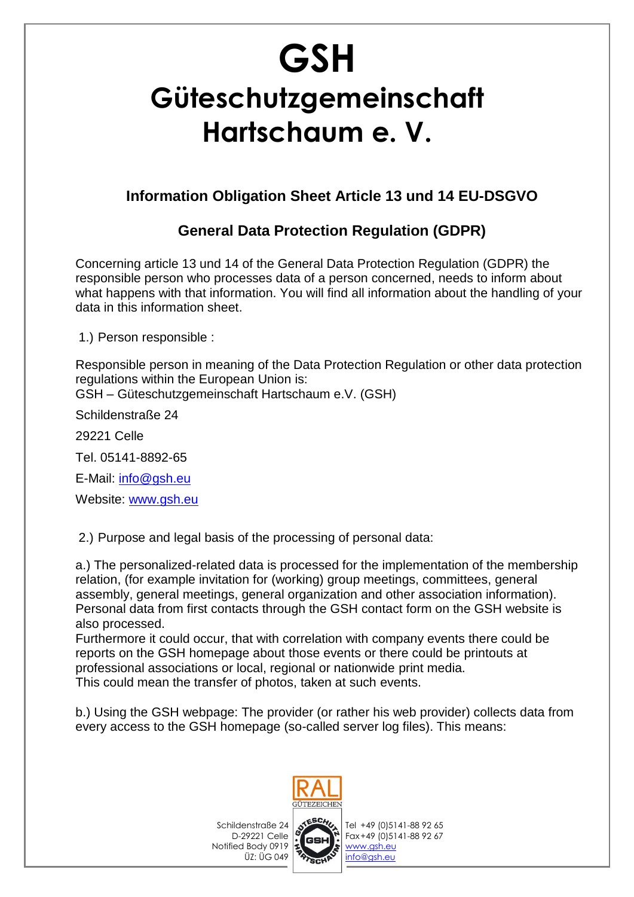## **GSH Güteschutzgemeinschaft Hartschaum e. V.**

## **Information Obligation Sheet Article 13 und 14 EU-DSGVO**

## **General Data Protection Regulation (GDPR)**

Concerning article 13 und 14 of the General Data Protection Regulation (GDPR) the responsible person who processes data of a person concerned, needs to inform about what happens with that information. You will find all information about the handling of your data in this information sheet.

1.) Person responsible :

Responsible person in meaning of the Data Protection Regulation or other data protection regulations within the European Union is:

GSH – Güteschutzgemeinschaft Hartschaum e.V. (GSH)

Schildenstraße 24

29221 Celle

Tel. 05141-8892-65

E-Mail: [info@gsh.eu](mailto:info@gsh.eu)

Website: [www.gsh.eu](http://www.gsh.eu/)

2.) Purpose and legal basis of the processing of personal data:

a.) The personalized-related data is processed for the implementation of the membership relation, (for example invitation for (working) group meetings, committees, general assembly, general meetings, general organization and other association information). Personal data from first contacts through the GSH contact form on the GSH website is also processed.

Furthermore it could occur, that with correlation with company events there could be reports on the GSH homepage about those events or there could be printouts at professional associations or local, regional or nationwide print media. This could mean the transfer of photos, taken at such events.

b.) Using the GSH webpage: The provider (or rather his web provider) collects data from every access to the GSH homepage (so-called server log files). This means:



Schildenstraße 24 Suisiraße 24 Stesch<br>D-29221 Celle<br>Fied Body 001 Notified Body 0919 ÜZ: ÜG 049



Tel +49 (0)5141-88 92 65 Fax+49 (0)5141-88 92 67 [www.gsh.eu](http://www.gsh.eu/) info@gsh.eu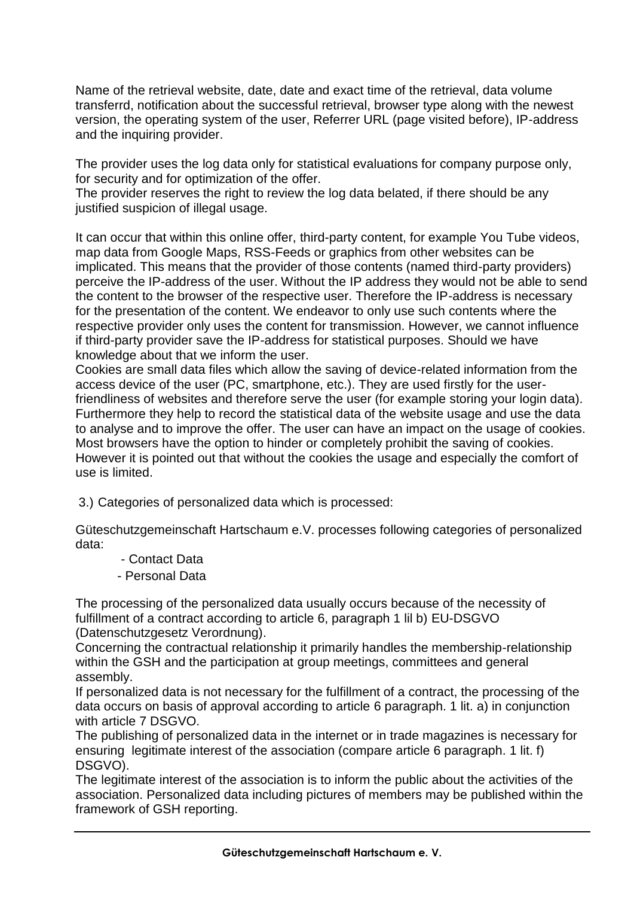Name of the retrieval website, date, date and exact time of the retrieval, data volume transferrd, notification about the successful retrieval, browser type along with the newest version, the operating system of the user, Referrer URL (page visited before), IP-address and the inquiring provider.

The provider uses the log data only for statistical evaluations for company purpose only, for security and for optimization of the offer.

The provider reserves the right to review the log data belated, if there should be any justified suspicion of illegal usage.

It can occur that within this online offer, third-party content, for example You Tube videos, map data from Google Maps, RSS-Feeds or graphics from other websites can be implicated. This means that the provider of those contents (named third-party providers) perceive the IP-address of the user. Without the IP address they would not be able to send the content to the browser of the respective user. Therefore the IP-address is necessary for the presentation of the content. We endeavor to only use such contents where the respective provider only uses the content for transmission. However, we cannot influence if third-party provider save the IP-address for statistical purposes. Should we have knowledge about that we inform the user.

Cookies are small data files which allow the saving of device-related information from the access device of the user (PC, smartphone, etc.). They are used firstly for the userfriendliness of websites and therefore serve the user (for example storing your login data). Furthermore they help to record the statistical data of the website usage and use the data to analyse and to improve the offer. The user can have an impact on the usage of cookies. Most browsers have the option to hinder or completely prohibit the saving of cookies. However it is pointed out that without the cookies the usage and especially the comfort of use is limited.

3.) Categories of personalized data which is processed:

Güteschutzgemeinschaft Hartschaum e.V. processes following categories of personalized data:

- Contact Data
- Personal Data

The processing of the personalized data usually occurs because of the necessity of fulfillment of a contract according to article 6, paragraph 1 lil b) EU-DSGVO (Datenschutzgesetz Verordnung).

Concerning the contractual relationship it primarily handles the membership-relationship within the GSH and the participation at group meetings, committees and general assembly.

If personalized data is not necessary for the fulfillment of a contract, the processing of the data occurs on basis of approval according to article 6 paragraph. 1 lit. a) in conjunction with article 7 DSGVO.

The publishing of personalized data in the internet or in trade magazines is necessary for ensuring legitimate interest of the association (compare article 6 paragraph. 1 lit. f) DSGVO).

The legitimate interest of the association is to inform the public about the activities of the association. Personalized data including pictures of members may be published within the framework of GSH reporting.